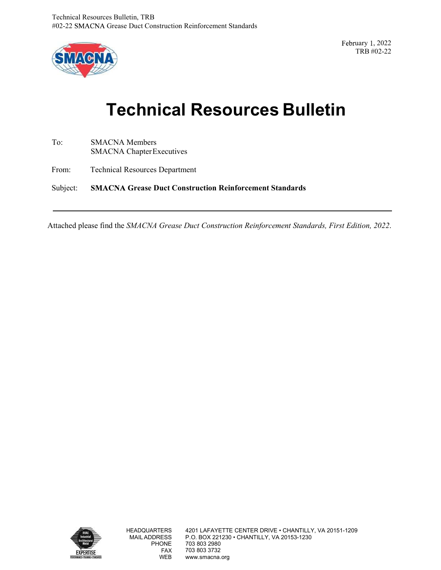

uary 1, 2022<br>TRB #02-22 TRB #02-22

# es Bulletin, TRB<br>Grease Duct Construction Reinforcement Standards<br>Technical Resources Bulletin<br>CNA Members<br>CNA Members

To: SMACNA Members SMACNA Chapter Executives

From: Technical Resources Department

Subject: SMACNA Grease Duct Construction Reinforcement Standards

Attached please find the SMACNA Grease Duct Construction Reinforcement Standards, First Edition, 2022.

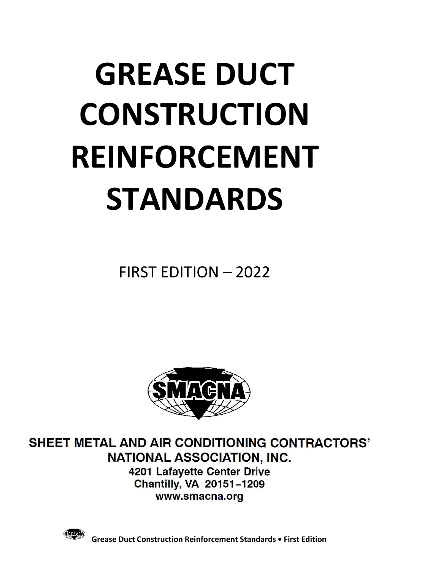### GREASE DUCT CONSTRUCTION REINFORCEMENT STANDARDS **NSTRUCTION<br>NFORCEMENT<br>TANDARDS<br>FIRST EDITION – 2022**



**SHEET METAL AND AIR CONDITIONING CONTRACTORS' NATIONAL ASSOCIATION, INC.** 4201 Lafayette Center Drive

**Chantilly, VA 20151-1209** www.smacna.org



Grease Duct Construction Reinforcement Standards • First Edition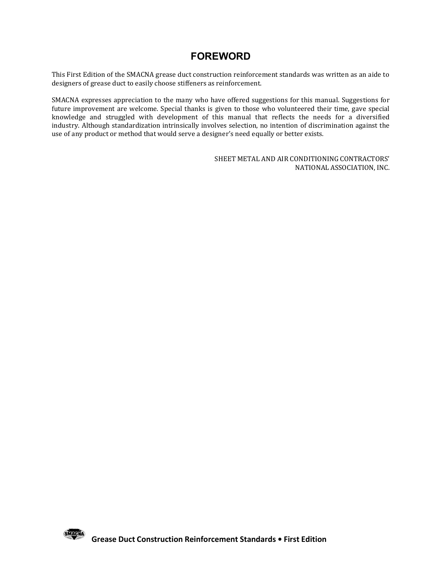### FOREWORD

This First Edition of the SMACNA grease duct construction reinforcement standards was written as an aide to designers of grease duct to easily choose stiffeners as reinforcement.

SMACNA expresses appreciation to the many who have offered suggestions for this manual. Suggestions for future improvement are welcome. Special thanks is given to those who volunteered their time, gave special knowledge and struggled with development of this manual that reflects the needs for a diversified industry. Although standardization intrinsically involves selection, no intention of discrimination against the use of any product or method that would serve a designer's need equally or better exists. **EWORD**<br>
EURORD<br>
EURORD<br>
EURORD<br>
EURORDISTING THE SURVEY ONE SURVEY AND AND SURVEY SURVEY SURVEY SURVEY SURVEY SURVEY SURVEY SHOWS<br>
SHEET METAL AND AIR CONDITIONING CONTRACTORS'<br>
SHEET METAL AND AIR CONDITIONING CONTRACTOR

NATIONAL ASSOCIATION, INC.

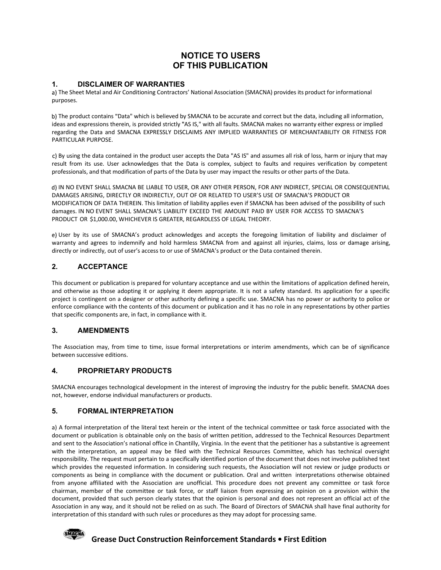### NOTICE TO USERS

**NOTICE TO USERS<br>OF THIS PUBLICATION<br>IES**<br>ctors' National Association (SMACNA) provides its product for informational purposes.

**SAULT AND THE SET OF THIS PUBLICATION**<br> **1.** DISCLAIMER OF WARRANTIES<br>
A) The Sheet Metal and Air Conditioning Contractors' National Association (SMACNA) provides its product for in<br>
purposes.<br>
b) The product contains "Da **NOTICE TO USERS<br>
OF THIS PUBLICATION**<br>
The Sheet Metal and Air Conditioning Contractors' National Association (SMACNA) provides its product for informational<br>
The product contains "Data" which is believed by SMACNA to be **THE PUBLICATION<br>
DISCLAIMER OF WARRANTIES**<br>
The sheet Metal and Air Conditioning Contractors' National Association (SMACNA) provides its product for informational<br>
The product contains "Data" which is believed by SMACNA t ideas and expressions therein, is provided strictly "AS IS," with all faults. SMACNA makes no warranty either express or implied regarding the Data and SMACNA EXPRESSLY DISCLAIMS ANY IMPLIED WARRANTIES OF MERCHANTABILITY OR FITNESS FOR PARTICULAR PURPOSE.

c) By using the data contained in the product user accepts the Data "AS IS" and assumes all risk of loss, harm or injury that may result from its use. User acknowledges that the Data is complex, subject to faults and requires verification by competent professionals, and that modification of parts of the Data by user may impact the results or other parts of the Data.

**IN NOTICE TO USERS<br>
OF THIS PUBLICATION**<br>
Intersected and Air Conditioning Contractors' National Association (SMACNA) provides its product for informational<br>
The product contains "Data" which is believed by SMACNA to be a DAMAGES ARISING, DIRECTLY OR INDIRECTLY, OUT OF OR RELATED TO USER'S USE OF SMACNA'S PRODUCT OR MODIFICATION OF DATA THEREIN. This limitation of liability applies even if SMACNA has been advised of the possibility of such **EXECTS TO USERS**<br>The Sheet Metal and Air Conditioning Contractors' National Association (SMACNA) provides its product for informational<br>purposes.<br>However, the product contains "Data" which is believed by SMACNA to be accu PRODUCT OR \$1,000.00, WHICHEVER IS GREATER, REGARDLESS OF LEGAL THEORY. 1. DISCLAIMER OF WARRANTIES<br>
2) The Sheet Metal and Air Conditioning Contractors' National Association (SMACNA) provides its pro<br>
purposes.<br>
b) The product contains "Data" which is believed by SMACNA to be accurate and cor c) By using the data contained in the product user accepts the Data "AS IS" and assumes all risk of itself from its use. User acknowledges that the Data is complex, subject to faults and requires<br>professionals, and that mo d) IN NO EVENT SHALL SMACRIAB BE LIBELE TO USER, OR ANY OTHER PERSON, FOR ANY INDIRECT, SPECIAL OR CONSEQ<br>
DAMAGES ARISING, DIRECTLY OR INDIRECTLY, OUT OF OR RELATED TO USER'S USE OF SMACNA'S PRODUCT OR<br>
MODIFICATION OF DA

User by its use of SMACNA's product acknowledges and accepts the foregoing limitation of liability and disclaimer of warranty and agrees to indemnify and hold harmless SMACNA from and against all injuries, claims, loss or damage arising, directly or indirectly, out of user's access to or use of SMACNA's product or the Data contained therein.

This document or publication is prepared for voluntary acceptance and use within the limitations of application defined herein, and otherwise as those adopting it or applying it deem appropriate. It is not a safety standard. Its application for a specific project is contingent on a designer or other authority defining a specific use. SMACNA has no power or authority to police or enforce compliance with the contents of this document or publication and it has no role in any representations by other parties that specific components are, in fact, in compliance with it. e) User by its use of SMACNA's product acknowledges and accepts the foregoing limitation of liability<br>warranty and agrees to indemnify and hold harmless SMACNA from and against all injuries, claims, loss<br>directly or indire

The Association may, from time to time, issue formal interpretations or interim amendments, which can be of significance between successive editions.

SMACNA encourages technological development in the interest of improving the industry for the public benefit. SMACNA does not, however, endorse individual manufacturers or products.

directly or indirectly, out of user's access to or use of SMACNA's product or the Data contained therein.<br>
2. ACCEPTANCE<br>
This document or publication is pregnared for voluntary acceptance and use within the limitations of document or publication is obtainable only on the basis of written petition, addressed to the Technical Resources Department and sent to the Association's national office in Chantilly, Virginia. In the event that the petitioner has a substantive is agreement with the interpretation, an appeal may be filed with the Technical Resources Committee, which has technical oversight responsibility. The request must pertain to a specifically identified portion of the document that does not involve published text which provides the requested information. In considering such requests, the Association will not review or judge products or project is contingent on a designer or other authority defining a specific use. SMACNA has no power or authority to police or<br>enforce compliance with the contents of this document or publication and it has no role in any r from anyone affiliated with the Association are unofficial. This procedure does not prevent any committee or task force chairman, member of the committee or task force, or staff liaison from expressing an opinion on a provision within the document, provided that such person clearly states that the opinion is personal and does not represent an official act of the Association in any way, and it should not be relied on as such. The Board of Directors of SMACNA shall have final authority for interpretation of this standard with such rules or procedures as they may adopt for processing same.



### Grease Duct Construction Reinforcement Standards • First Edition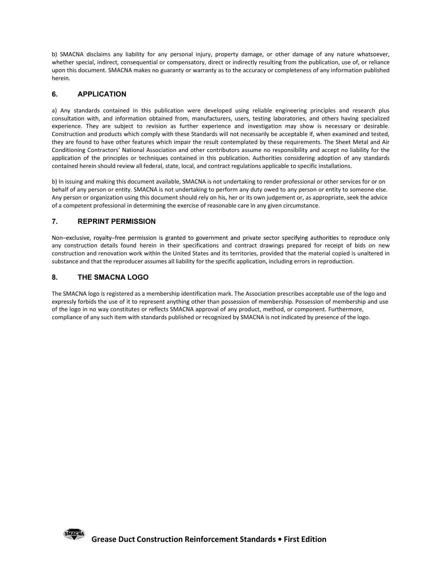b) SMACNA disclaims any liability for any personal injury, property damage, or other damage of any nature whatsoever, whether special, indirect, consequential or compensatory, direct or indirectly resulting from the public whether special, indirect, consequential or compensatory, direct or indirectly resulting from the publication, use of, or reliance upon this document. SMACNA makes no guaranty or warranty as to the accuracy or completeness of any information published herein.

b) SMACNA disclaims any liability for any personal injury, property damage, or other damage<br>whether special, indirect, consequential or compensatory, direct or indirectly resulting from the pu<br>upon this document. SMACNA ma b) SMACNA disclaims any liability for any personal injury, property damage, or other damage of any nature whatsoever,<br>whether special, indirect, consequential or compensatory, direct or indirectly resulting from the public consultation with, and information obtained from, manufacturers, users, testing laboratories, and others having specialized experience. They are subject to revision as further experience and investigation may show is necessary or desirable. Construction and products which comply with these Standards will not necessarily be acceptable if, when examined and tested, they are found to have other features which impair the result contemplated by these requirements. The Sheet Metal and Air Conditioning Contractors' National Association and other contributors assume no responsibility and accept no liability for the application of the principles or techniques contained in this publication. Authorities considering adoption of any standards contained herein should review all federal, state, local, and contract regulations applicable to specific installations. b) SMACNA disclaims any liability for any personal injury, property damage, or other damage of any nature whatsoever, where youched more in the publication, use of, or reliable available, upon this document. SMACNA makes n b) SMACNA disclaims any liability for any personal injury, property damage, or other damage of any nature whatsoever, whether special, indirect, consequential or compensatory, direct or indirectly resulting from the public **ED**) SMACNA disclaims any liability for any personal injury, property damage, or other damage or whether special, indirect, consequential or compensatory, direct or indirectly resulting from the publication upon this docu **6. APPLICATION**<br> **a** Any standards contained in this publication were developed using reliable engineering principality consultation with, and information obtained from, manufacturers, users, testing laboratories, and o

Any person or organization using this document should rely on his, her or its own judgement or, as appropriate, seek the advice of a competent professional in determining the exercise of reasonable care in any given circumstance.

any construction details found herein in their specifications and contract drawings prepared for receipt of bids on new construction and renovation work within the United States and its territories, provided that the material copied is unaltered in substance and that the reproducer assumes all liability for the specific application, including errors in reproduction.

The SMACNA logo is registered as a membership identification mark. The Association prescribes acceptable use of the logo and expressly forbids the use of it to represent anything other than possession of membership. Possession of membership and use of the logo in no way constitutes or reflects SMACNA approval of any product, method, or component. Furthermore, compliance of any such item with standards published or recognized by SMACNA is not indicated by presence of the logo.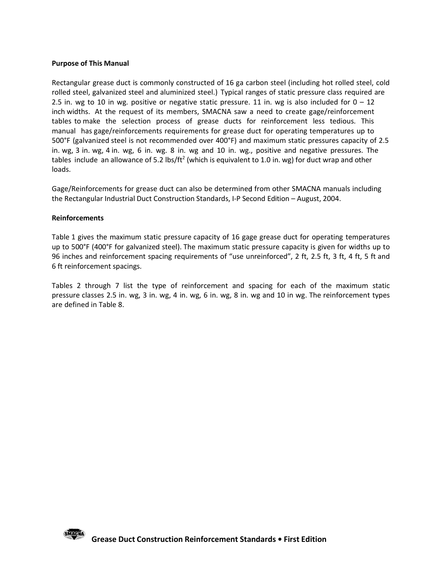### Purpose of This Manual

**Purpose of This Manual**<br>Rectangular grease duct is commonly constructed of 16 ga carbon steel (including hot rolled steel, cold<br>rolled steel, galvanized steel and aluminized steel.) Typical ranges of static pressure clas **Purpose of This Manual**<br>Rectangular grease duct is commonly constructed of 16 ga carbon steel (including hot rolled steel, cold<br>rolled steel, galvanized steel and aluminized steel.) Typical ranges of static pressure class 2.5 in. wg to 10 in wg. positive or negative static pressure. 11 in. wg is also included for  $0 - 12$ inch widths. At the request of its members, SMACNA saw a need to create gage/reinforcement tables to make the selection process of grease ducts for reinforcement less tedious. This manual has gage/reinforcements requirements for grease duct for operating temperatures up to 500°F (galvanized steel is not recommended over 400°F) and maximum static pressures capacity of 2.5 **Purpose of This Manual**<br>Rectangular grease duct is commonly constructed of 16 ga carbon steel (including hot rolled steel, cold<br>crolled steel, galvanized steel and aluminized steel). Typical ranges of static pressure clas tables include an allowance of 5.2 lbs/ft<sup>2</sup> (which is equivalent to 1.0 in. wg) for duct wrap and other loads.

Gage/Reinforcements for grease duct can also be determined from other SMACNA manuals including the Rectangular Industrial Duct Construction Standards, I-P Second Edition – August, 2004.

### Reinforcements

Table 1 gives the maximum static pressure capacity of 16 gage grease duct for operating temperatures up to 500°F (400°F for galvanized steel). The maximum static pressure capacity is given for widths up to 96 inches and reinforcement spacing requirements of "use unreinforced", 2 ft, 2.5 ft, 3 ft, 4 ft, 5 ft and 6 ft reinforcement spacings.

Tables 2 through 7 list the type of reinforcement and spacing for each of the maximum static pressure classes 2.5 in. wg, 3 in. wg, 4 in. wg, 6 in. wg, 8 in. wg and 10 in wg. The reinforcement types are defined in Table 8.

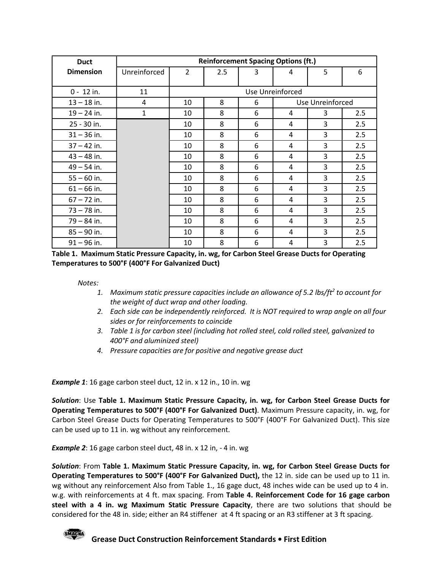| <b>Duct</b>                                                                                    |                                                                                                      |             |     |   | <b>Reinforcement Spacing Options (ft.)</b> |                  |     |
|------------------------------------------------------------------------------------------------|------------------------------------------------------------------------------------------------------|-------------|-----|---|--------------------------------------------|------------------|-----|
| <b>Dimension</b>                                                                               | Unreinforced                                                                                         | $2^{\circ}$ | 2.5 | 3 | 4                                          | 5                | 6   |
| $0 - 12$ in.                                                                                   | 11                                                                                                   |             |     |   | Use Unreinforced                           |                  |     |
| $13 - 18$ in.                                                                                  | $\overline{4}$                                                                                       | 10          | 8   | 6 |                                            | Use Unreinforced |     |
| $19 - 24$ in.                                                                                  | $\mathbf{1}$                                                                                         | 10          | 8   | 6 | 4                                          | 3                | 2.5 |
| 25 - 30 in.                                                                                    |                                                                                                      | 10          | 8   | 6 | 4                                          | 3                | 2.5 |
| $31 - 36$ in.                                                                                  |                                                                                                      | 10          | 8   | 6 | 4                                          | 3                | 2.5 |
| $37 - 42$ in.                                                                                  |                                                                                                      | 10          | 8   | 6 | 4                                          | $\mathbf{3}$     | 2.5 |
| $43 - 48$ in.                                                                                  |                                                                                                      | 10          | 8   | 6 | 4                                          | 3                | 2.5 |
| $49 - 54$ in.                                                                                  |                                                                                                      | 10          | 8   | 6 | 4                                          | 3                | 2.5 |
| $55 - 60$ in.                                                                                  |                                                                                                      | 10          | 8   | 6 | 4                                          | 3                | 2.5 |
| $61 - 66$ in.                                                                                  |                                                                                                      | 10          | 8   | 6 | 4                                          | $\overline{3}$   | 2.5 |
| $67 - 72$ in.                                                                                  |                                                                                                      | 10          | 8   | 6 | 4                                          | 3                | 2.5 |
| $73 - 78$ in.                                                                                  |                                                                                                      | 10          | 8   | 6 | 4                                          | 3                | 2.5 |
| $79 - 84$ in.                                                                                  |                                                                                                      | 10          | 8   | 6 | 4                                          | 3                | 2.5 |
| $85 - 90$ in.                                                                                  |                                                                                                      | 10          | 8   | 6 | 4                                          | 3                | 2.5 |
| $91 - 96$ in.                                                                                  |                                                                                                      | 10          | 8   | 6 | 4                                          | 3                | 2.5 |
| Table 1. Maximum Static Pressure Capacity, in. wg, for Carbon Steel Grease Ducts for Operating |                                                                                                      |             |     |   |                                            |                  |     |
| Temperatures to 500°F (400°F For Galvanized Duct)                                              |                                                                                                      |             |     |   |                                            |                  |     |
|                                                                                                |                                                                                                      |             |     |   |                                            |                  |     |
|                                                                                                |                                                                                                      |             |     |   |                                            |                  |     |
| Notes:                                                                                         | 1. Maximum static pressure capacities include an allowance of 5.2 lbs/ft <sup>2</sup> to account for |             |     |   |                                            |                  |     |

- 1. Maximum static pressure capacities include an allowance of 5.2 lbs/ft<sup>2</sup> to account for the weight of duct wrap and other loading.
- 2. Each side can be independently reinforced. It is NOT required to wrap angle on all four sides or for reinforcements to coincide
- 3. Table 1 is for carbon steel (including hot rolled steel, cold rolled steel, galvanized to 400°F and aluminized steel)
- 4. Pressure capacities are for positive and negative grease duct

**Example 1**: 16 gage carbon steel duct, 12 in. x 12 in., 10 in. wg

Solution: Use Table 1. Maximum Static Pressure Capacity, in. wg, for Carbon Steel Grease Ducts for Operating Temperatures to 500°F (400°F For Galvanized Duct). Maximum Pressure capacity, in. wg, for Carbon Steel Grease Ducts for Operating Temperatures to 500°F (400°F For Galvanized Duct). This size can be used up to 11 in. wg without any reinforcement.

Notes:<br>
1. Maximum static pressure capacities include an allowance of 5.2 lbs/ft<sup>2</sup> to account for<br>
1. Maximum static pressure capacities include an allowance of 5.2 lbs/ft<sup>2</sup> to account for<br>
2. Each side can be independe 1. Maximum static pressure capacities include an allowance of 5.2 lbs/f<sup>2</sup> to account for<br>
1. Maximum static d'auct wrap and other loading.<br>
2. Each side con be independently reinforced.<br>
1. Table 1. So carbon steel (incl Operating Temperatures to 500°F (400°F For Galvanized Duct), the 12 in. side can be used up to 11 in. wg without any reinforcement Also from Table 1., 16 gage duct, 48 inches wide can be used up to 4 in. w.g. with reinforcements at 4 ft. max spacing. From Table 4. Reinforcement Code for 16 gage carbon steel with a 4 in. wg Maximum Static Pressure Capacity, there are two solutions that should be considered for the 48 in. side; either an R4 stiffener at 4 ft spacing or an R3 stiffener at 3 ft spacing.

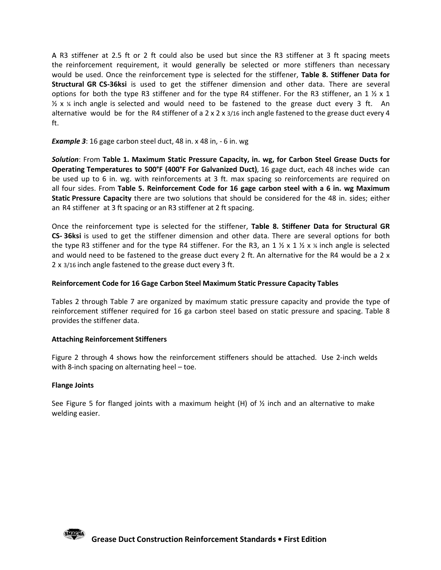R3 stiffener at 2.5 ft or 2 ft could also be used but since the R3 stiffener at 3 ft spacing meets the reinforcement requirement, it would generally be selected or more stiffeners than necessary would be used. Once the reinforcement type is selected for the stiffener, Table 8. Stiffener Data for Structural GR CS-36ksi is used to get the stiffener dimension and other data. There are several options for both the type R3 stiffener and for the type R4 stiffener. For the R3 stiffener, an 1  $\frac{1}{2} \times 1$ A R3 stiffener at 2.5 ft or 2 ft could also be used but since the R3 stiffener at 3 ft spacing meets<br>the reinforcement requirement, it would generally be selected or more stiffeners than necessary<br>would be used. Once the alternative would be for the R4 stiffener of a 2 x 2 x 3/16 inch angle fastened to the grease duct every 4 ft.

### **Example 3**: 16 gage carbon steel duct, 48 in. x 48 in, - 6 in. wg

Solution: From Table 1. Maximum Static Pressure Capacity, in. wg, for Carbon Steel Grease Ducts for Operating Temperatures to 500°F (400°F For Galvanized Duct), 16 gage duct, each 48 inches wide can be used up to 6 in. wg. with reinforcements at 3 ft. max spacing so reinforcements are required on all four sides. From Table 5. Reinforcement Code for 16 gage carbon steel with a 6 in. wg Maximum Static Pressure Capacity there are two solutions that should be considered for the 48 in. sides; either an R4 stiffener at 3 ft spacing or an R3 stiffener at 2 ft spacing.

Once the reinforcement type is selected for the stiffener, Table 8. Stiffener Data for Structural GR CS- 36ksi is used to get the stiffener dimension and other data. There are several options for both the type R3 stiffener and for the type R4 stiffener. For the R3, an 1  $\frac{1}{2} \times 1 \times \frac{1}{2} \times \frac{1}{4}$  inch angle is selected and would need to be fastened to the grease duct every 2 ft. An alternative for the R4 would be a 2 x 2 x 3/16 inch angle fastened to the grease duct every 3 ft.

### Reinforcement Code for 16 Gage Carbon Steel Maximum Static Pressure Capacity Tables

Tables 2 through Table 7 are organized by maximum static pressure capacity and provide the type of reinforcement stiffener required for 16 ga carbon steel based on static pressure and spacing. Table 8 provides the stiffener data.

### Attaching Reinforcement Stiffeners

Figure 2 through 4 shows how the reinforcement stiffeners should be attached. Use 2-inch welds with 8-inch spacing on alternating heel – toe.

### Flange Joints

See Figure 5 for flanged joints with a maximum height (H) of  $\frac{1}{2}$  inch and an alternative to make welding easier.

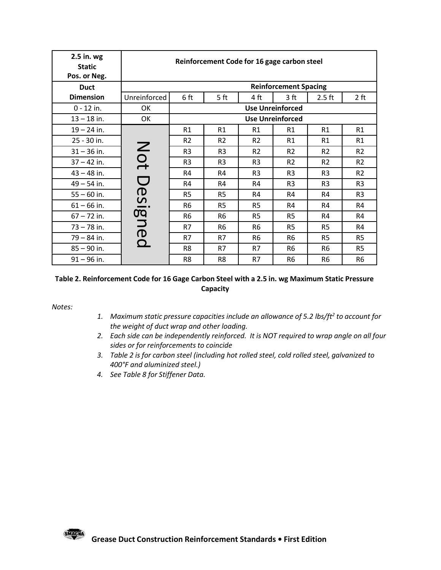| 2.5 in. wg                                                                                               |                                                                                                                                                                                                                                                                                                                                                                                                                                                                   |                |                                             |                      |                                  |                                  |                      |
|----------------------------------------------------------------------------------------------------------|-------------------------------------------------------------------------------------------------------------------------------------------------------------------------------------------------------------------------------------------------------------------------------------------------------------------------------------------------------------------------------------------------------------------------------------------------------------------|----------------|---------------------------------------------|----------------------|----------------------------------|----------------------------------|----------------------|
| <b>Static</b>                                                                                            |                                                                                                                                                                                                                                                                                                                                                                                                                                                                   |                | Reinforcement Code for 16 gage carbon steel |                      |                                  |                                  |                      |
| Pos. or Neg.                                                                                             |                                                                                                                                                                                                                                                                                                                                                                                                                                                                   |                |                                             |                      |                                  |                                  |                      |
| <b>Duct</b>                                                                                              |                                                                                                                                                                                                                                                                                                                                                                                                                                                                   |                |                                             |                      | <b>Reinforcement Spacing</b>     |                                  |                      |
| <b>Dimension</b>                                                                                         | Unreinforced                                                                                                                                                                                                                                                                                                                                                                                                                                                      | 6 ft           | 5 <sub>ft</sub>                             | 4 ft                 | 3 <sub>ft</sub>                  | $2.5$ ft                         | 2 ft                 |
| 0 - 12 in.                                                                                               | OK                                                                                                                                                                                                                                                                                                                                                                                                                                                                |                |                                             |                      | <b>Use Unreinforced</b>          |                                  |                      |
| $13 - 18$ in.                                                                                            | OK                                                                                                                                                                                                                                                                                                                                                                                                                                                                |                |                                             |                      | <b>Use Unreinforced</b>          |                                  |                      |
| $19 - 24$ in.                                                                                            |                                                                                                                                                                                                                                                                                                                                                                                                                                                                   | R1             | R1                                          | R1                   | R1                               | R1                               | R1                   |
| 25 - 30 in.                                                                                              |                                                                                                                                                                                                                                                                                                                                                                                                                                                                   | R <sub>2</sub> | R2                                          | R <sub>2</sub>       | R1                               | R1                               | R1                   |
| $31 - 36$ in.                                                                                            |                                                                                                                                                                                                                                                                                                                                                                                                                                                                   | R <sub>3</sub> | R <sub>3</sub>                              | R <sub>2</sub>       | R2                               | R <sub>2</sub>                   | R2                   |
| $37 - 42$ in.                                                                                            |                                                                                                                                                                                                                                                                                                                                                                                                                                                                   | R <sub>3</sub> | R <sub>3</sub>                              | R <sub>3</sub>       | R2                               | R <sub>2</sub>                   | R2                   |
| $43 - 48$ in.<br>$49 - 54$ in.                                                                           | Not Desig                                                                                                                                                                                                                                                                                                                                                                                                                                                         | R4<br>R4       | R4<br>R4                                    | R <sub>3</sub><br>R4 | R <sub>3</sub><br>R <sub>3</sub> | R <sub>3</sub><br>R <sub>3</sub> | R2<br>R <sub>3</sub> |
| $55 - 60$ in.                                                                                            |                                                                                                                                                                                                                                                                                                                                                                                                                                                                   | R <sub>5</sub> | R <sub>5</sub>                              | R4                   | R4                               | R4                               | R <sub>3</sub>       |
| $61 - 66$ in.                                                                                            |                                                                                                                                                                                                                                                                                                                                                                                                                                                                   | R <sub>6</sub> | R <sub>5</sub>                              | R <sub>5</sub>       | R4                               | R4                               | R4                   |
| $67 - 72$ in.                                                                                            |                                                                                                                                                                                                                                                                                                                                                                                                                                                                   | R <sub>6</sub> | R6                                          | R <sub>5</sub>       | R <sub>5</sub>                   | R4                               | R4                   |
| $73 - 78$ in.                                                                                            | ned                                                                                                                                                                                                                                                                                                                                                                                                                                                               | R7             | R <sub>6</sub>                              | R <sub>6</sub>       | R <sub>5</sub>                   | R <sub>5</sub>                   | R4                   |
| $79 - 84$ in.                                                                                            |                                                                                                                                                                                                                                                                                                                                                                                                                                                                   | R7             | R7                                          | R <sub>6</sub>       | R <sub>6</sub>                   | R <sub>5</sub>                   | R <sub>5</sub>       |
| $85 - 90$ in.                                                                                            |                                                                                                                                                                                                                                                                                                                                                                                                                                                                   | R8             | R7                                          | R7                   | R <sub>6</sub>                   | R <sub>6</sub>                   | R <sub>5</sub>       |
| $91 - 96$ in.                                                                                            |                                                                                                                                                                                                                                                                                                                                                                                                                                                                   | R <sub>8</sub> | R8                                          | R7                   | R <sub>6</sub>                   | R <sub>6</sub>                   | R <sub>6</sub>       |
| Table 2. Reinforcement Code for 16 Gage Carbon Steel with a 2.5 in. wg Maximum Static Pressure<br>Notes: | 1. Maximum static pressure capacities include an allowance of 5.2 lbs/ft <sup>2</sup> to account for<br>the weight of duct wrap and other loading.<br>2. Each side can be independently reinforced. It is NOT required to wrap angle on all four<br>sides or for reinforcements to coincide<br>3. Table 2 is for carbon steel (including hot rolled steel, cold rolled steel, galvanized to<br>400°F and aluminized steel.)<br>4. See Table 8 for Stiffener Data. |                | Capacity                                    |                      |                                  |                                  |                      |

### Table 2. Reinforcement Code for 16 Gage Carbon Steel with a 2.5 in. wg Maximum Static Pressure Capacity

- 1. Maximum static pressure capacities include an allowance of 5.2 lbs/ft<sup>2</sup> to account for the weight of duct wrap and other loading.
- 2. Each side can be independently reinforced. It is NOT required to wrap angle on all four sides or for reinforcements to coincide
- 400°F and aluminized steel.)
- 

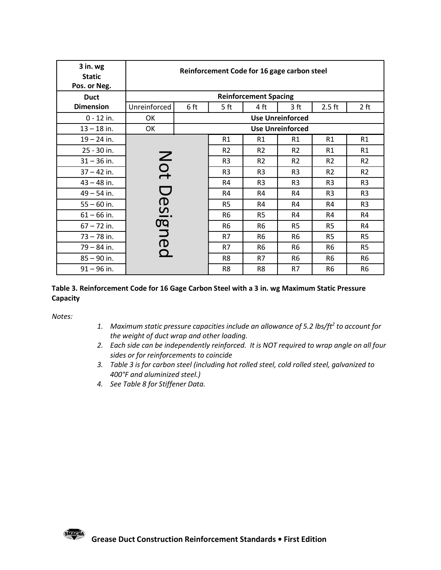### Table 3. Reinforcement Code for 16 Gage Carbon Steel with a 3 in. wg Maximum Static Pressure **Capacity**

- 1. Maximum static pressure capacities include an allowance of 5.2 lbs/ft<sup>2</sup> to account for the weight of duct wrap and other loading.
- 2. Each side can be independently reinforced. It is NOT required to wrap angle on all four sides or for reinforcements to coincide
- 400°F and aluminized steel.)
- 4. See Table 8 for Stiffener Data.

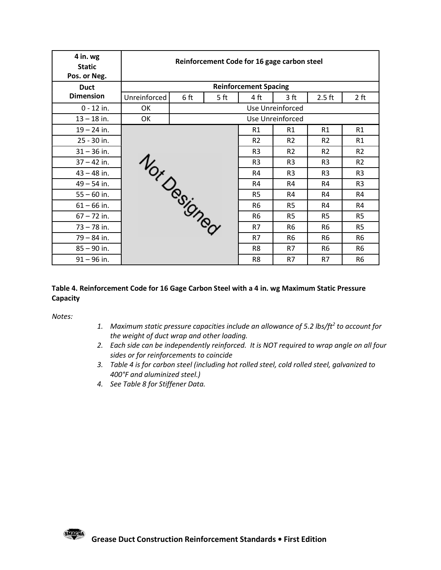| 4 in. wg<br>Reinforcement Code for 16 gage carbon steel<br><b>Static</b><br>Pos. or Neg.<br><b>Reinforcement Spacing</b><br><b>Duct</b><br><b>Dimension</b><br>6 ft<br>$2.5$ ft<br>Unreinforced<br>5 <sub>ft</sub><br>4 ft<br>3 <sup>ft</sup><br>2 ft<br>$0 - 12$ in.<br>Use Unreinforced<br>OK<br>$13 - 18$ in.<br>OK<br>Use Unreinforced<br>R1<br>$19 - 24$ in.<br>R1<br>R1<br>R1<br>25 - 30 in.<br>R2<br>R2<br>R2<br>R1<br>$31 - 36$ in.<br>R2<br>R <sub>3</sub><br>R <sub>2</sub><br>R2<br>Nor Designed<br>$37 - 42$ in.<br>R <sub>3</sub><br>R <sub>3</sub><br>R <sub>3</sub><br>R2<br>$43 - 48$ in.<br>R <sub>3</sub><br>R4<br>R <sub>3</sub><br>R <sub>3</sub><br>$49 - 54$ in.<br>R4<br>R4<br>R4<br>R <sub>3</sub><br>$55 - 60$ in.<br>R4<br>R <sub>5</sub><br>R4<br>R4<br>$61 - 66$ in.<br>R <sub>6</sub><br>R <sub>5</sub><br>R4<br>R4<br>$67 - 72$ in.<br>R <sub>6</sub><br>R <sub>5</sub><br>R <sub>5</sub><br>R <sub>5</sub><br>$73 - 78$ in.<br>R7<br>R <sub>6</sub><br>R <sub>5</sub><br>R <sub>6</sub><br>$79 - 84$ in.<br>R7<br>R <sub>6</sub><br>R <sub>6</sub><br>R <sub>6</sub><br>$85 - 90$ in.<br>R8<br>R7<br>R <sub>6</sub><br>R <sub>6</sub><br>$91 - 96$ in.<br>R7<br>R8<br>R7<br>R <sub>6</sub> |  |  |  |  |
|---------------------------------------------------------------------------------------------------------------------------------------------------------------------------------------------------------------------------------------------------------------------------------------------------------------------------------------------------------------------------------------------------------------------------------------------------------------------------------------------------------------------------------------------------------------------------------------------------------------------------------------------------------------------------------------------------------------------------------------------------------------------------------------------------------------------------------------------------------------------------------------------------------------------------------------------------------------------------------------------------------------------------------------------------------------------------------------------------------------------------------------------------------------------------------------------------------------------------|--|--|--|--|
|                                                                                                                                                                                                                                                                                                                                                                                                                                                                                                                                                                                                                                                                                                                                                                                                                                                                                                                                                                                                                                                                                                                                                                                                                           |  |  |  |  |
|                                                                                                                                                                                                                                                                                                                                                                                                                                                                                                                                                                                                                                                                                                                                                                                                                                                                                                                                                                                                                                                                                                                                                                                                                           |  |  |  |  |
|                                                                                                                                                                                                                                                                                                                                                                                                                                                                                                                                                                                                                                                                                                                                                                                                                                                                                                                                                                                                                                                                                                                                                                                                                           |  |  |  |  |
|                                                                                                                                                                                                                                                                                                                                                                                                                                                                                                                                                                                                                                                                                                                                                                                                                                                                                                                                                                                                                                                                                                                                                                                                                           |  |  |  |  |
|                                                                                                                                                                                                                                                                                                                                                                                                                                                                                                                                                                                                                                                                                                                                                                                                                                                                                                                                                                                                                                                                                                                                                                                                                           |  |  |  |  |
|                                                                                                                                                                                                                                                                                                                                                                                                                                                                                                                                                                                                                                                                                                                                                                                                                                                                                                                                                                                                                                                                                                                                                                                                                           |  |  |  |  |
|                                                                                                                                                                                                                                                                                                                                                                                                                                                                                                                                                                                                                                                                                                                                                                                                                                                                                                                                                                                                                                                                                                                                                                                                                           |  |  |  |  |
|                                                                                                                                                                                                                                                                                                                                                                                                                                                                                                                                                                                                                                                                                                                                                                                                                                                                                                                                                                                                                                                                                                                                                                                                                           |  |  |  |  |
|                                                                                                                                                                                                                                                                                                                                                                                                                                                                                                                                                                                                                                                                                                                                                                                                                                                                                                                                                                                                                                                                                                                                                                                                                           |  |  |  |  |
|                                                                                                                                                                                                                                                                                                                                                                                                                                                                                                                                                                                                                                                                                                                                                                                                                                                                                                                                                                                                                                                                                                                                                                                                                           |  |  |  |  |
|                                                                                                                                                                                                                                                                                                                                                                                                                                                                                                                                                                                                                                                                                                                                                                                                                                                                                                                                                                                                                                                                                                                                                                                                                           |  |  |  |  |
|                                                                                                                                                                                                                                                                                                                                                                                                                                                                                                                                                                                                                                                                                                                                                                                                                                                                                                                                                                                                                                                                                                                                                                                                                           |  |  |  |  |
|                                                                                                                                                                                                                                                                                                                                                                                                                                                                                                                                                                                                                                                                                                                                                                                                                                                                                                                                                                                                                                                                                                                                                                                                                           |  |  |  |  |
|                                                                                                                                                                                                                                                                                                                                                                                                                                                                                                                                                                                                                                                                                                                                                                                                                                                                                                                                                                                                                                                                                                                                                                                                                           |  |  |  |  |
|                                                                                                                                                                                                                                                                                                                                                                                                                                                                                                                                                                                                                                                                                                                                                                                                                                                                                                                                                                                                                                                                                                                                                                                                                           |  |  |  |  |
|                                                                                                                                                                                                                                                                                                                                                                                                                                                                                                                                                                                                                                                                                                                                                                                                                                                                                                                                                                                                                                                                                                                                                                                                                           |  |  |  |  |
|                                                                                                                                                                                                                                                                                                                                                                                                                                                                                                                                                                                                                                                                                                                                                                                                                                                                                                                                                                                                                                                                                                                                                                                                                           |  |  |  |  |
|                                                                                                                                                                                                                                                                                                                                                                                                                                                                                                                                                                                                                                                                                                                                                                                                                                                                                                                                                                                                                                                                                                                                                                                                                           |  |  |  |  |
|                                                                                                                                                                                                                                                                                                                                                                                                                                                                                                                                                                                                                                                                                                                                                                                                                                                                                                                                                                                                                                                                                                                                                                                                                           |  |  |  |  |
|                                                                                                                                                                                                                                                                                                                                                                                                                                                                                                                                                                                                                                                                                                                                                                                                                                                                                                                                                                                                                                                                                                                                                                                                                           |  |  |  |  |
|                                                                                                                                                                                                                                                                                                                                                                                                                                                                                                                                                                                                                                                                                                                                                                                                                                                                                                                                                                                                                                                                                                                                                                                                                           |  |  |  |  |
|                                                                                                                                                                                                                                                                                                                                                                                                                                                                                                                                                                                                                                                                                                                                                                                                                                                                                                                                                                                                                                                                                                                                                                                                                           |  |  |  |  |
|                                                                                                                                                                                                                                                                                                                                                                                                                                                                                                                                                                                                                                                                                                                                                                                                                                                                                                                                                                                                                                                                                                                                                                                                                           |  |  |  |  |
|                                                                                                                                                                                                                                                                                                                                                                                                                                                                                                                                                                                                                                                                                                                                                                                                                                                                                                                                                                                                                                                                                                                                                                                                                           |  |  |  |  |
|                                                                                                                                                                                                                                                                                                                                                                                                                                                                                                                                                                                                                                                                                                                                                                                                                                                                                                                                                                                                                                                                                                                                                                                                                           |  |  |  |  |
|                                                                                                                                                                                                                                                                                                                                                                                                                                                                                                                                                                                                                                                                                                                                                                                                                                                                                                                                                                                                                                                                                                                                                                                                                           |  |  |  |  |
|                                                                                                                                                                                                                                                                                                                                                                                                                                                                                                                                                                                                                                                                                                                                                                                                                                                                                                                                                                                                                                                                                                                                                                                                                           |  |  |  |  |
|                                                                                                                                                                                                                                                                                                                                                                                                                                                                                                                                                                                                                                                                                                                                                                                                                                                                                                                                                                                                                                                                                                                                                                                                                           |  |  |  |  |
|                                                                                                                                                                                                                                                                                                                                                                                                                                                                                                                                                                                                                                                                                                                                                                                                                                                                                                                                                                                                                                                                                                                                                                                                                           |  |  |  |  |
|                                                                                                                                                                                                                                                                                                                                                                                                                                                                                                                                                                                                                                                                                                                                                                                                                                                                                                                                                                                                                                                                                                                                                                                                                           |  |  |  |  |
| Table 4. Reinforcement Code for 16 Gage Carbon Steel with a 4 in. wg Maximum Static Pressure<br>Capacity                                                                                                                                                                                                                                                                                                                                                                                                                                                                                                                                                                                                                                                                                                                                                                                                                                                                                                                                                                                                                                                                                                                  |  |  |  |  |
|                                                                                                                                                                                                                                                                                                                                                                                                                                                                                                                                                                                                                                                                                                                                                                                                                                                                                                                                                                                                                                                                                                                                                                                                                           |  |  |  |  |
| Notes:                                                                                                                                                                                                                                                                                                                                                                                                                                                                                                                                                                                                                                                                                                                                                                                                                                                                                                                                                                                                                                                                                                                                                                                                                    |  |  |  |  |
| 1. Maximum static pressure capacities include an allowance of 5.2 lbs/ft <sup>2</sup> to account for<br>the weight of duct wrap and other loading.                                                                                                                                                                                                                                                                                                                                                                                                                                                                                                                                                                                                                                                                                                                                                                                                                                                                                                                                                                                                                                                                        |  |  |  |  |
| 2. Each side can be independently reinforced. It is NOT required to wrap angle on all four                                                                                                                                                                                                                                                                                                                                                                                                                                                                                                                                                                                                                                                                                                                                                                                                                                                                                                                                                                                                                                                                                                                                |  |  |  |  |
| sides or for reinforcements to coincide                                                                                                                                                                                                                                                                                                                                                                                                                                                                                                                                                                                                                                                                                                                                                                                                                                                                                                                                                                                                                                                                                                                                                                                   |  |  |  |  |
| 3. Table 4 is for carbon steel (including hot rolled steel, cold rolled steel, galvanized to                                                                                                                                                                                                                                                                                                                                                                                                                                                                                                                                                                                                                                                                                                                                                                                                                                                                                                                                                                                                                                                                                                                              |  |  |  |  |
| 400°F and aluminized steel.)                                                                                                                                                                                                                                                                                                                                                                                                                                                                                                                                                                                                                                                                                                                                                                                                                                                                                                                                                                                                                                                                                                                                                                                              |  |  |  |  |
| 4. See Table 8 for Stiffener Data.                                                                                                                                                                                                                                                                                                                                                                                                                                                                                                                                                                                                                                                                                                                                                                                                                                                                                                                                                                                                                                                                                                                                                                                        |  |  |  |  |
|                                                                                                                                                                                                                                                                                                                                                                                                                                                                                                                                                                                                                                                                                                                                                                                                                                                                                                                                                                                                                                                                                                                                                                                                                           |  |  |  |  |

### Table 4. Reinforcement Code for 16 Gage Carbon Steel with a 4 in. wg Maximum Static Pressure **Capacity**

- 1. Maximum static pressure capacities include an allowance of 5.2 lbs/ft<sup>2</sup> to account for the weight of duct wrap and other loading.
- 2. Each side can be independently reinforced. It is NOT required to wrap angle on all four sides or for reinforcements to coincide
- 400°F and aluminized steel.)
- 4. See Table 8 for Stiffener Data.

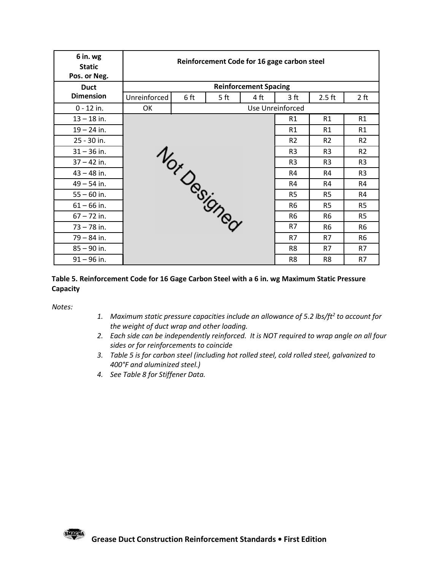| 6 in. wg<br>Reinforcement Code for 16 gage carbon steel<br><b>Static</b><br>Pos. or Neg.<br><b>Reinforcement Spacing</b><br><b>Duct</b><br><b>Dimension</b><br>$2.5$ ft<br>Unreinforced<br>6 ft<br>2 ft<br>5 <sub>ft</sub><br>4 ft<br>3 <sup>ft</sup><br>$0 - 12$ in.<br>Use Unreinforced<br>OK<br>$13 - 18$ in.<br>R1<br>R1<br>R1<br>$19 - 24$ in.<br>R1<br>R1<br>R1<br>25 - 30 in.<br>R2<br>R2<br>R <sub>2</sub><br>Nor Desir<br>$31 - 36$ in.<br>R <sub>3</sub><br>R <sub>3</sub><br>R2<br>$37 - 42$ in.<br>R <sub>3</sub><br>R <sub>3</sub><br>R <sub>3</sub><br>$43 - 48$ in.<br>R <sub>3</sub><br>R4<br>R4<br>$49 - 54$ in.<br>R4<br>R4<br>R4<br>$55 - 60$ in.<br>R <sub>5</sub><br>R4<br>R <sub>5</sub><br><b>JONEO</b><br>$61 - 66$ in.<br>R <sub>6</sub><br>R <sub>5</sub><br>R <sub>5</sub><br>$67 - 72$ in.<br>R <sub>6</sub><br>R <sub>6</sub><br>R <sub>5</sub><br>R7<br>$73 - 78$ in.<br>R <sub>6</sub><br>R <sub>6</sub><br>$79 - 84$ in.<br>R7<br>R7<br>R <sub>6</sub><br>$85 - 90$ in.<br>R <sub>8</sub><br>R7<br>R7<br>$91 - 96$ in.<br>R7<br>R <sub>8</sub><br>R <sub>8</sub> |  |  |  |  |
|--------------------------------------------------------------------------------------------------------------------------------------------------------------------------------------------------------------------------------------------------------------------------------------------------------------------------------------------------------------------------------------------------------------------------------------------------------------------------------------------------------------------------------------------------------------------------------------------------------------------------------------------------------------------------------------------------------------------------------------------------------------------------------------------------------------------------------------------------------------------------------------------------------------------------------------------------------------------------------------------------------------------------------------------------------------------------------------------------|--|--|--|--|
|                                                                                                                                                                                                                                                                                                                                                                                                                                                                                                                                                                                                                                                                                                                                                                                                                                                                                                                                                                                                                                                                                                  |  |  |  |  |
|                                                                                                                                                                                                                                                                                                                                                                                                                                                                                                                                                                                                                                                                                                                                                                                                                                                                                                                                                                                                                                                                                                  |  |  |  |  |
|                                                                                                                                                                                                                                                                                                                                                                                                                                                                                                                                                                                                                                                                                                                                                                                                                                                                                                                                                                                                                                                                                                  |  |  |  |  |
|                                                                                                                                                                                                                                                                                                                                                                                                                                                                                                                                                                                                                                                                                                                                                                                                                                                                                                                                                                                                                                                                                                  |  |  |  |  |
|                                                                                                                                                                                                                                                                                                                                                                                                                                                                                                                                                                                                                                                                                                                                                                                                                                                                                                                                                                                                                                                                                                  |  |  |  |  |
|                                                                                                                                                                                                                                                                                                                                                                                                                                                                                                                                                                                                                                                                                                                                                                                                                                                                                                                                                                                                                                                                                                  |  |  |  |  |
|                                                                                                                                                                                                                                                                                                                                                                                                                                                                                                                                                                                                                                                                                                                                                                                                                                                                                                                                                                                                                                                                                                  |  |  |  |  |
|                                                                                                                                                                                                                                                                                                                                                                                                                                                                                                                                                                                                                                                                                                                                                                                                                                                                                                                                                                                                                                                                                                  |  |  |  |  |
|                                                                                                                                                                                                                                                                                                                                                                                                                                                                                                                                                                                                                                                                                                                                                                                                                                                                                                                                                                                                                                                                                                  |  |  |  |  |
|                                                                                                                                                                                                                                                                                                                                                                                                                                                                                                                                                                                                                                                                                                                                                                                                                                                                                                                                                                                                                                                                                                  |  |  |  |  |
|                                                                                                                                                                                                                                                                                                                                                                                                                                                                                                                                                                                                                                                                                                                                                                                                                                                                                                                                                                                                                                                                                                  |  |  |  |  |
|                                                                                                                                                                                                                                                                                                                                                                                                                                                                                                                                                                                                                                                                                                                                                                                                                                                                                                                                                                                                                                                                                                  |  |  |  |  |
|                                                                                                                                                                                                                                                                                                                                                                                                                                                                                                                                                                                                                                                                                                                                                                                                                                                                                                                                                                                                                                                                                                  |  |  |  |  |
|                                                                                                                                                                                                                                                                                                                                                                                                                                                                                                                                                                                                                                                                                                                                                                                                                                                                                                                                                                                                                                                                                                  |  |  |  |  |
|                                                                                                                                                                                                                                                                                                                                                                                                                                                                                                                                                                                                                                                                                                                                                                                                                                                                                                                                                                                                                                                                                                  |  |  |  |  |
|                                                                                                                                                                                                                                                                                                                                                                                                                                                                                                                                                                                                                                                                                                                                                                                                                                                                                                                                                                                                                                                                                                  |  |  |  |  |
|                                                                                                                                                                                                                                                                                                                                                                                                                                                                                                                                                                                                                                                                                                                                                                                                                                                                                                                                                                                                                                                                                                  |  |  |  |  |
|                                                                                                                                                                                                                                                                                                                                                                                                                                                                                                                                                                                                                                                                                                                                                                                                                                                                                                                                                                                                                                                                                                  |  |  |  |  |
|                                                                                                                                                                                                                                                                                                                                                                                                                                                                                                                                                                                                                                                                                                                                                                                                                                                                                                                                                                                                                                                                                                  |  |  |  |  |
|                                                                                                                                                                                                                                                                                                                                                                                                                                                                                                                                                                                                                                                                                                                                                                                                                                                                                                                                                                                                                                                                                                  |  |  |  |  |
|                                                                                                                                                                                                                                                                                                                                                                                                                                                                                                                                                                                                                                                                                                                                                                                                                                                                                                                                                                                                                                                                                                  |  |  |  |  |
|                                                                                                                                                                                                                                                                                                                                                                                                                                                                                                                                                                                                                                                                                                                                                                                                                                                                                                                                                                                                                                                                                                  |  |  |  |  |
|                                                                                                                                                                                                                                                                                                                                                                                                                                                                                                                                                                                                                                                                                                                                                                                                                                                                                                                                                                                                                                                                                                  |  |  |  |  |
|                                                                                                                                                                                                                                                                                                                                                                                                                                                                                                                                                                                                                                                                                                                                                                                                                                                                                                                                                                                                                                                                                                  |  |  |  |  |
| Table 5. Reinforcement Code for 16 Gage Carbon Steel with a 6 in. wg Maximum Static Pressure                                                                                                                                                                                                                                                                                                                                                                                                                                                                                                                                                                                                                                                                                                                                                                                                                                                                                                                                                                                                     |  |  |  |  |
|                                                                                                                                                                                                                                                                                                                                                                                                                                                                                                                                                                                                                                                                                                                                                                                                                                                                                                                                                                                                                                                                                                  |  |  |  |  |
| Capacity                                                                                                                                                                                                                                                                                                                                                                                                                                                                                                                                                                                                                                                                                                                                                                                                                                                                                                                                                                                                                                                                                         |  |  |  |  |
| Notes:                                                                                                                                                                                                                                                                                                                                                                                                                                                                                                                                                                                                                                                                                                                                                                                                                                                                                                                                                                                                                                                                                           |  |  |  |  |
| 1. Maximum static pressure capacities include an allowance of 5.2 lbs/ft <sup>2</sup> to account for                                                                                                                                                                                                                                                                                                                                                                                                                                                                                                                                                                                                                                                                                                                                                                                                                                                                                                                                                                                             |  |  |  |  |
| the weight of duct wrap and other loading.<br>2. Each side can be independently reinforced. It is NOT required to wrap angle on all four                                                                                                                                                                                                                                                                                                                                                                                                                                                                                                                                                                                                                                                                                                                                                                                                                                                                                                                                                         |  |  |  |  |
| sides or for reinforcements to coincide                                                                                                                                                                                                                                                                                                                                                                                                                                                                                                                                                                                                                                                                                                                                                                                                                                                                                                                                                                                                                                                          |  |  |  |  |
| 3. Table 5 is for carbon steel (including hot rolled steel, cold rolled steel, galvanized to                                                                                                                                                                                                                                                                                                                                                                                                                                                                                                                                                                                                                                                                                                                                                                                                                                                                                                                                                                                                     |  |  |  |  |
| 400°F and aluminized steel.)                                                                                                                                                                                                                                                                                                                                                                                                                                                                                                                                                                                                                                                                                                                                                                                                                                                                                                                                                                                                                                                                     |  |  |  |  |
| 4. See Table 8 for Stiffener Data.                                                                                                                                                                                                                                                                                                                                                                                                                                                                                                                                                                                                                                                                                                                                                                                                                                                                                                                                                                                                                                                               |  |  |  |  |
|                                                                                                                                                                                                                                                                                                                                                                                                                                                                                                                                                                                                                                                                                                                                                                                                                                                                                                                                                                                                                                                                                                  |  |  |  |  |
|                                                                                                                                                                                                                                                                                                                                                                                                                                                                                                                                                                                                                                                                                                                                                                                                                                                                                                                                                                                                                                                                                                  |  |  |  |  |
|                                                                                                                                                                                                                                                                                                                                                                                                                                                                                                                                                                                                                                                                                                                                                                                                                                                                                                                                                                                                                                                                                                  |  |  |  |  |

- 1. Maximum static pressure capacities include an allowance of 5.2 lbs/ft<sup>2</sup> to account for the weight of duct wrap and other loading.
- 2. Each side can be independently reinforced. It is NOT required to wrap angle on all four sides or for reinforcements to coincide
- 400°F and aluminized steel.)
- 

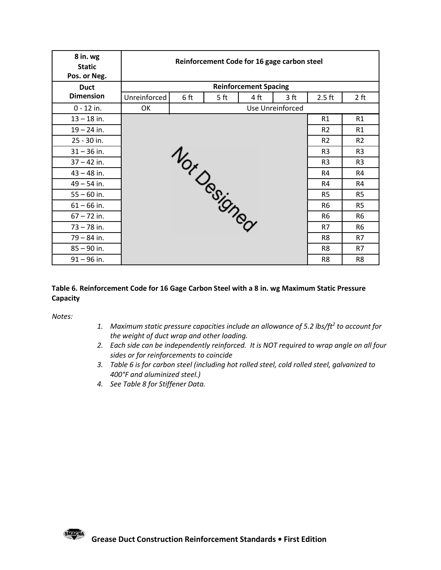| 8 in. wg                    |              |                         | Reinforcement Code for 16 gage carbon steel |                |                |
|-----------------------------|--------------|-------------------------|---------------------------------------------|----------------|----------------|
| <b>Static</b>               |              |                         |                                             |                |                |
| Pos. or Neg.<br><b>Duct</b> |              |                         | <b>Reinforcement Spacing</b>                |                |                |
| <b>Dimension</b>            | Unreinforced | 6 ft<br>5 <sub>ft</sub> | 4 ft<br>3 <sub>ft</sub>                     | $2.5$ ft       | 2 ft           |
| $0 - 12$ in.                | OK           |                         | Use Unreinforced                            |                |                |
| $13 - 18$ in.               |              |                         |                                             | R1             | R1             |
| $19 - 24$ in.               |              |                         |                                             | R <sub>2</sub> | R1             |
| 25 - 30 in.                 |              |                         |                                             | R <sub>2</sub> | R2             |
| $31 - 36$ in.               |              |                         |                                             | R <sub>3</sub> | R <sub>3</sub> |
| $37 - 42$ in.               |              | Nor Designed            |                                             | R <sub>3</sub> | R <sub>3</sub> |
| $43 - 48$ in.               |              |                         |                                             | R4             | R4             |
| $49 - 54$ in.               |              |                         |                                             | R4             | R4             |
| $55 - 60$ in.               |              |                         |                                             | R <sub>5</sub> | R <sub>5</sub> |
| $61 - 66$ in.               |              |                         |                                             | R <sub>6</sub> | R <sub>5</sub> |
| $67 - 72$ in.               |              |                         |                                             | R <sub>6</sub> | R <sub>6</sub> |
| $73 - 78$ in.               |              |                         |                                             | R7             | R <sub>6</sub> |
| $79 - 84$ in.               |              |                         |                                             | R8             | R7             |
| $85 - 90$ in.               |              |                         |                                             | R8             | R7             |
| $91 - 96$ in.               |              |                         |                                             | R <sub>8</sub> | R <sub>8</sub> |

### Table 6. Reinforcement Code for 16 Gage Carbon Steel with a 8 in. wg Maximum Static Pressure **Capacity**

- 1. Maximum static pressure capacities include an allowance of 5.2 lbs/ft<sup>2</sup> to account for the weight of duct wrap and other loading.
- 2. Each side can be independently reinforced. It is NOT required to wrap angle on all four sides or for reinforcements to coincide
- 400°F and aluminized steel.)
- 4. See Table 8 for Stiffener Data.

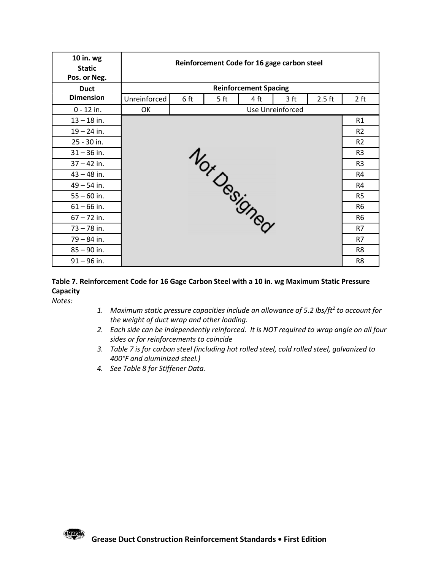| 10 in. wg                      |              |      |      | Reinforcement Code for 16 gage carbon steel                                                          |                                  |
|--------------------------------|--------------|------|------|------------------------------------------------------------------------------------------------------|----------------------------------|
| <b>Static</b><br>Pos. or Neg.  |              |      |      |                                                                                                      |                                  |
| <b>Duct</b>                    |              |      |      | <b>Reinforcement Spacing</b>                                                                         |                                  |
| <b>Dimension</b>               | Unreinforced | 6 ft | 5 ft | 4 ft<br>3 <sub>ft</sub>                                                                              | $2.5$ ft<br>2 ft                 |
| $0 - 12$ in.                   | OK           |      |      | Use Unreinforced                                                                                     |                                  |
| $13 - 18$ in.                  |              |      |      |                                                                                                      | R1                               |
| $19 - 24$ in.                  |              |      |      |                                                                                                      | R2                               |
| 25 - 30 in.                    |              |      |      | <b>1</b> Ortography                                                                                  | R2                               |
| $31 - 36$ in.                  |              |      |      |                                                                                                      | R <sub>3</sub>                   |
| $37 - 42$ in.                  |              |      |      |                                                                                                      | R <sub>3</sub>                   |
| $43 - 48$ in.                  |              |      |      |                                                                                                      | R4                               |
| $49 - 54$ in.                  |              |      |      |                                                                                                      | R4                               |
| $55 - 60$ in.<br>$61 - 66$ in. |              |      |      |                                                                                                      | R <sub>5</sub><br>R <sub>6</sub> |
| $67 - 72$ in.                  |              |      |      |                                                                                                      | R <sub>6</sub>                   |
| $73 - 78$ in.                  |              |      |      |                                                                                                      | R7                               |
| $79 - 84$ in.                  |              |      |      |                                                                                                      | R7                               |
| $85 - 90$ in.                  |              |      |      |                                                                                                      | R8                               |
| $91 - 96$ in.                  |              |      |      |                                                                                                      | R8                               |
|                                |              |      |      |                                                                                                      |                                  |
|                                |              |      |      | Table 7. Reinforcement Code for 16 Gage Carbon Steel with a 10 in. wg Maximum Static Pressure        |                                  |
|                                |              |      |      |                                                                                                      |                                  |
| Capacity                       |              |      |      |                                                                                                      |                                  |
| Notes:                         |              |      |      | 1. Maximum static pressure capacities include an allowance of 5.2 lbs/ft <sup>2</sup> to account for |                                  |

### Table 7. Reinforcement Code for 16 Gage Carbon Steel with a 10 in. wg Maximum Static Pressure Capacity

- 1. Maximum static pressure capacities include an allowance of 5.2 lbs/ft<sup>2</sup> to account for the weight of duct wrap and other loading.
- 2. Each side can be independently reinforced. It is NOT required to wrap angle on all four sides or for reinforcements to coincide
- 3. Table 7 is for carbon steel (including hot rolled steel, cold rolled steel, galvanized to 400°F and aluminized steel.)
- 4. See Table 8 for Stiffener Data.

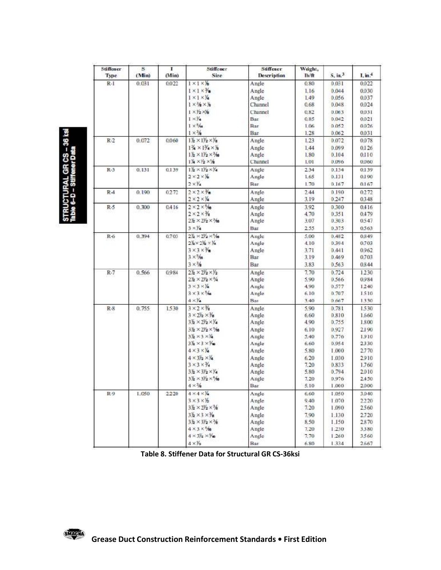## :TURAL GR CS – 36 ksi<br>-D – Stiffener Data

|         | (Min) | (Min)  | Stiffener.<br>Size                                                     | Stiffener<br><b>Description</b> | Weight,<br>lb/ft | S, in <sup>3</sup> | I, in.4       |
|---------|-------|--------|------------------------------------------------------------------------|---------------------------------|------------------|--------------------|---------------|
| $R - I$ | 0.031 | 0.022  | $1 \times 1 \times 16$                                                 | Angle                           | 0.80             | 0.031              | 0.022         |
|         |       |        | $1 \times 1 \times \frac{1}{2}$                                        | Anzle                           | 1.16             | 0.044              | 0.030         |
|         |       |        | $1 \times 1 \times 14$                                                 | Angle                           | 1.49             | 0.056              | 0.037         |
|         |       |        | $1 \times 11 \times 11$                                                | Channel                         | 0.68             | 0.048              | 0.024         |
|         |       |        | $1 \times Y_2 \times Y_8$                                              | Channel                         | 0.82             | 0.063              | 0.031         |
|         |       |        | $1 \times Y_4$                                                         | Bar                             | 0.85             | 0.042              | 0.021         |
|         |       |        | $1 \times \frac{5}{10}$                                                | Bar                             | 1.06             | 0.052              | 0026          |
|         |       |        | $1 \times \frac{3}{6}$                                                 | Bar                             | 1.28             | 0.062              | 0.031         |
| $R-2$   | 0.072 | 0.060  | $1\frac{1}{2} \times 1\frac{1}{2} \times \frac{1}{8}$                  | Angle                           | 1.23             | 0.072              | 0.078         |
|         |       |        | $1\frac{3}{4}\times1\frac{3}{4}\times\frac{1}{8}$                      | Angle                           | 1.44             | 0.099              | 0.126         |
|         |       |        | $1\frac{1}{2} \times 1\frac{1}{2} \times \frac{1}{16}$                 | Anzle                           | 1.80             | 0.104              | 0.110         |
|         |       |        | $1\frac{1}{4} \times 2 \times 16$                                      | Channel                         | 1.01             | 0.096              | 0.060         |
| $R-3$   | 0.131 | 0.139  | $1\frac{1}{2} \times 1\frac{1}{2} \times \frac{1}{4}$                  | Angle                           | 2.34             | 0.134              | 0.139         |
|         |       |        | $2 \times 2 \times 36$                                                 | Angle                           | 1.65             | 0.131              | 0.190         |
|         |       |        | $2 \times$ $\frac{1}{4}$                                               | Bar                             | 1.70             | 0.167              | 0.167         |
| $R-4$   | 0.190 | 0272   | $2 \times 2 \times 7$                                                  | Angle                           | 2.44             | 0.190              | 0272          |
|         |       |        | $2 \times 2 \times 14$                                                 | Angle                           | 3.19             | 0.247              | 0348          |
|         |       |        | $2 \times 2 \times 5/6$                                                |                                 |                  |                    |               |
| $R-5$   | 0.300 | 0.416  | $2 \times 2 \times \frac{3}{8}$                                        | Angle                           | 3.92             | 0.300              | 0.416         |
|         |       |        |                                                                        | Anzle                           | 4.70             | 0.351              | 0.479         |
|         |       |        | $25 \times 2\sqrt{2} \times \sqrt[3]{6}$                               | Angle                           | 3.07             | 0.303              | 0547          |
|         |       |        | $3 \times Y_4$                                                         | Bar                             | 2.55             | 0.375              | 0.563         |
| R-6     | 0.394 | 0.703  | $2\frac{y}{2} \times 2\frac{y}{2} \times \frac{6}{10}$                 | Angle                           | 5.00             | 0.482              | 0.849         |
|         |       |        | $2\frac{11}{2} \times 2\frac{11}{2} \times \frac{11}{4}$               | Angle                           | 4.10             | 0.394              | 0.703         |
|         |       |        | $3 \times 3 \times \frac{1}{2}$                                        | Angle                           | 3.71             | 0.441              | 0.962         |
|         |       |        | $3 \times \%$                                                          | Bar                             | 3.19             | 0.469              | 0.703         |
|         |       |        | $3 \times 56$                                                          | Bar                             | 3.83             | 0.563              | 0.844         |
| $R-7$   | 0.566 | 0.984  | $2\frac{1}{2}\times2\frac{1}{2}\times\frac{1}{2}$                      | Angle                           | 7.70             | 0.724              | 1230          |
|         |       |        | $2\frac{1}{2}\times2\frac{1}{2}\times\frac{3}{4}$                      | Angle                           | 5.90             | 0.566              | 0.984         |
|         |       |        | $3 \times 3 \times 14$                                                 | Anzle                           | 4.90             | 0.577              | 1240          |
|         |       |        | $3 \times 3 \times 5/4$                                                | Angle                           | 6.10             | 0.767              | 1510          |
|         |       |        | $4 \times$ $\frac{1}{4}$                                               | Bar                             | 3.40             | 0.667              | 1330          |
| $R - 8$ | 0.755 | 1.530  | $3 \times 2 \times \frac{1}{8}$                                        | Angle                           | 5.90             | 0.781              | 1.530         |
|         |       |        | $3 \times 2\frac{1}{2} \times \frac{1}{8}$                             | Angle                           | 6.60             | 0.810              | 1,660         |
|         |       |        | $3\frac{1}{2}\times2\frac{1}{2}\times\frac{1}{4}$                      | Angle                           | 4.90             | 0.755              | 1.800         |
|         |       |        | 3% × 2% × %                                                            | Angle                           | 6.10             | 0.927              | 2.190         |
|         |       |        | $3\frac{11}{2} \times 3 \times 14$                                     | Angle                           | 5.40             | 0.776              | 1.910         |
|         |       |        | $3\frac{1}{2}\times3\times\frac{1}{2}$                                 | Angle                           | 6.60             | 0.954              | 2330          |
|         |       |        | $4 \times 3 \times 14$                                                 | Angle                           | 5.80             | 1.000              | 2.770         |
|         |       |        | $4 \times 3\frac{1}{2} \times \frac{1}{4}$                             | Angle                           | 6.20             | 1.030              | 2910          |
|         |       |        | $3 \times 3 \times 34$                                                 | Anzle                           | 7.20             | 0.833              | 1.760         |
|         |       |        | $3\frac{1}{2}\times3\frac{y}{2}\times\frac{y}{4}$                      | Angle                           | 5.80             | 0.794              | 2010          |
|         |       |        | $3\frac{11}{2} \times 3\frac{1}{2} \times \frac{5}{16}$                | Anzle                           | 7.20             | 0.976              | 2.450         |
|         |       |        | $4 \times 76$                                                          | Bar                             | 5:10             | 1,000              | 2,000         |
| R9      | 1.050 | 2.2.20 | $4 \times 4 \times 14$                                                 | Anglo                           | 6.60             | 1.050              | 3,040         |
|         |       |        | $3 \times 3 \times 16$                                                 | Angle                           | 9.40             | 1.070              | 2220          |
|         |       |        | $3\frac{1}{2}\times2\frac{1}{2}\times\frac{1}{2}$                      | Angle                           | 7.20             | 1.090              | 2560          |
|         |       |        | $3\frac{1}{2} \times 3 \times \frac{1}{8}$                             | Anzle                           | 7.90             | 1.130              | 2.720         |
|         |       |        | $3\frac{1}{2} \times 3\frac{1}{2} \times \frac{3}{2}$                  | Angle                           | 8.50             | 1,150              | 2870          |
|         |       |        |                                                                        |                                 |                  |                    |               |
|         |       |        |                                                                        |                                 |                  |                    |               |
|         |       |        | $4 \times 3 \times 5/18$<br>$4 \times 3\frac{1}{2} \times \frac{1}{2}$ | Angle<br>Anglo                  | 7.20<br>7.70     | 1,230<br>1,260     | 3,380<br>3560 |

Table 8. Stiffener Data for Structural GR CS-36ksi

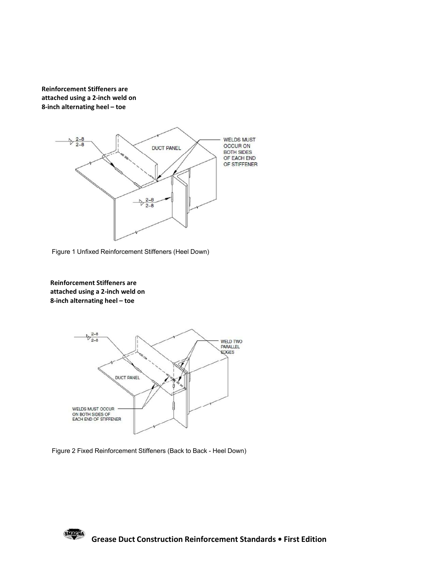Reinforcement Stiffeners are attached using a 2-inch weld on 8-inch alternating heel – toe







Figure 2 Fixed Reinforcement Stiffeners (Back to Back - Heel Down)

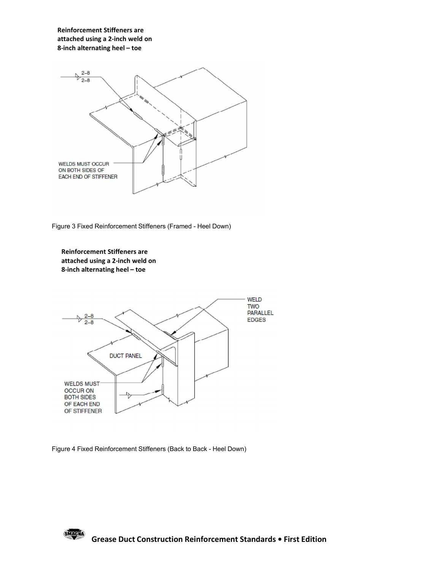Reinforcement Stiffeners are attached using a 2-inch weld on 8-inch alternating heel – toe



Figure 3 Fixed Reinforcement Stiffeners (Framed - Heel Down)





Figure 4 Fixed Reinforcement Stiffeners (Back to Back - Heel Down)